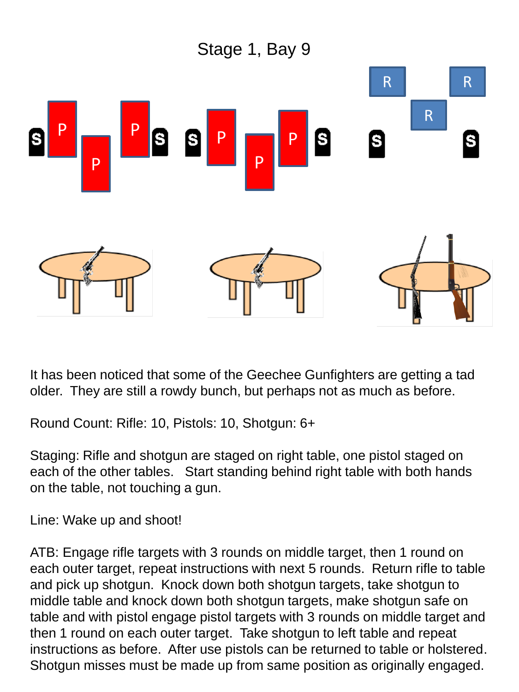

It has been noticed that some of the Geechee Gunfighters are getting a tad older. They are still a rowdy bunch, but perhaps not as much as before.

Round Count: Rifle: 10, Pistols: 10, Shotgun: 6+

Staging: Rifle and shotgun are staged on right table, one pistol staged on each of the other tables. Start standing behind right table with both hands on the table, not touching a gun.

Line: Wake up and shoot!

ATB: Engage rifle targets with 3 rounds on middle target, then 1 round on each outer target, repeat instructions with next 5 rounds. Return rifle to table and pick up shotgun. Knock down both shotgun targets, take shotgun to middle table and knock down both shotgun targets, make shotgun safe on table and with pistol engage pistol targets with 3 rounds on middle target and then 1 round on each outer target. Take shotgun to left table and repeat instructions as before. After use pistols can be returned to table or holstered. Shotgun misses must be made up from same position as originally engaged.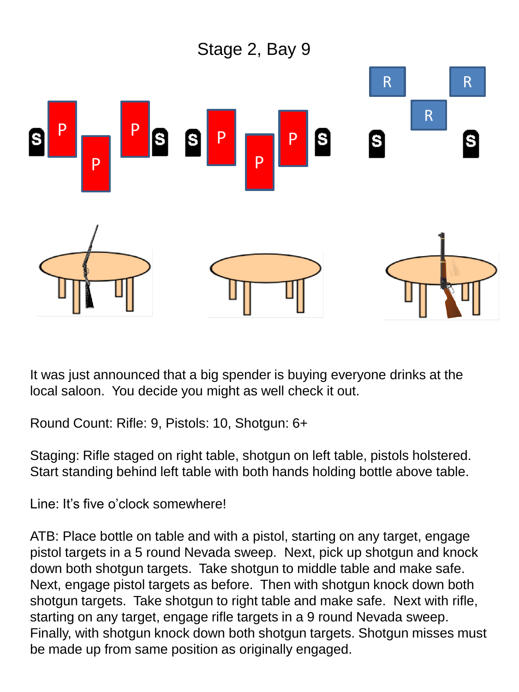

It was just announced that a big spender is buying everyone drinks at the local saloon. You decide you might as well check it out.

Round Count: Rifle: 9, Pistols: 10, Shotgun: 6+

Staging: Rifle staged on right table, shotgun on left table, pistols holstered. Start standing behind left table with both hands holding bottle above table.

Line: It's five o'clock somewhere!

ATB: Place bottle on table and with a pistol, starting on any target, engage pistol targets in a 5 round Nevada sweep. Next, pick up shotgun and knock down both shotgun targets. Take shotgun to middle table and make safe. Next, engage pistol targets as before. Then with shotgun knock down both shotgun targets. Take shotgun to right table and make safe. Next with rifle, starting on any target, engage rifle targets in a 9 round Nevada sweep. Finally, with shotgun knock down both shotgun targets. Shotgun misses must be made up from same position as originally engaged.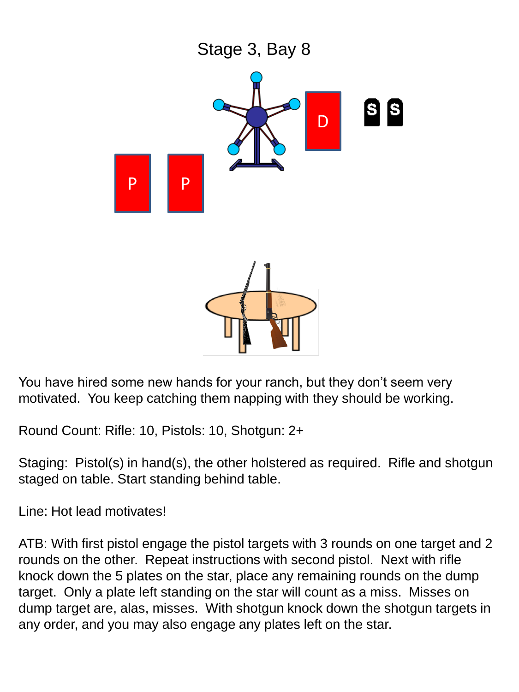

You have hired some new hands for your ranch, but they don't seem very motivated. You keep catching them napping with they should be working.

Round Count: Rifle: 10, Pistols: 10, Shotgun: 2+

Staging: Pistol(s) in hand(s), the other holstered as required. Rifle and shotgun staged on table. Start standing behind table.

Line: Hot lead motivates!

ATB: With first pistol engage the pistol targets with 3 rounds on one target and 2 rounds on the other. Repeat instructions with second pistol. Next with rifle knock down the 5 plates on the star, place any remaining rounds on the dump target. Only a plate left standing on the star will count as a miss. Misses on dump target are, alas, misses. With shotgun knock down the shotgun targets in any order, and you may also engage any plates left on the star.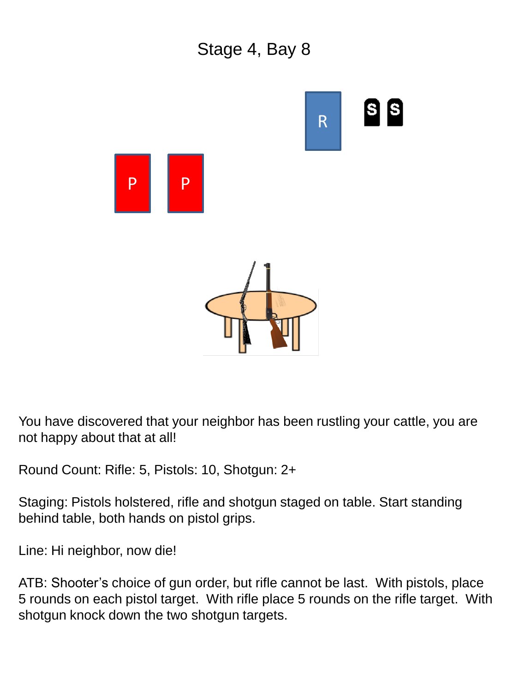

You have discovered that your neighbor has been rustling your cattle, you are not happy about that at all!

Round Count: Rifle: 5, Pistols: 10, Shotgun: 2+

Staging: Pistols holstered, rifle and shotgun staged on table. Start standing behind table, both hands on pistol grips.

Line: Hi neighbor, now die!

ATB: Shooter's choice of gun order, but rifle cannot be last. With pistols, place 5 rounds on each pistol target. With rifle place 5 rounds on the rifle target. With shotgun knock down the two shotgun targets.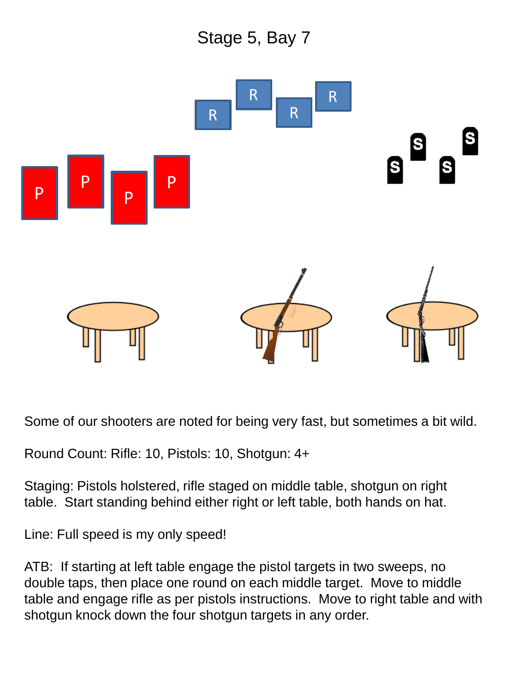

Some of our shooters are noted for being very fast, but sometimes a bit wild.

Round Count: Rifle: 10, Pistols: 10, Shotgun: 4+

Staging: Pistols holstered, rifle staged on middle table, shotgun on right table. Start standing behind either right or left table, both hands on hat.

Line: Full speed is my only speed!

ATB: If starting at left table engage the pistol targets in two sweeps, no double taps, then place one round on each middle target. Move to middle table and engage rifle as per pistols instructions. Move to right table and with shotgun knock down the four shotgun targets in any order.